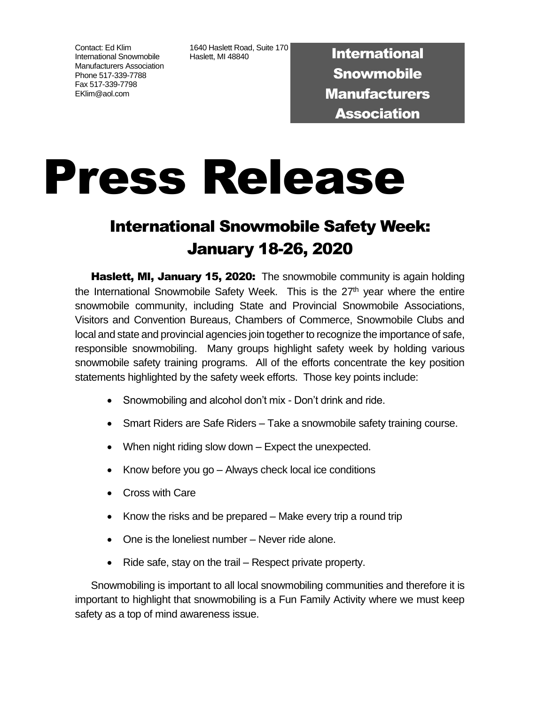Contact: Ed Klim International Snowmobile Manufacturers Association Phone 517-339-7788 Fax 517-339-7798 EKlim@aol.com

1640 Haslett Road, Suite 170 T640 Haslett Road, Suite 170<br>Haslett, MI 48840

**Snowmobile Manufacturers** Association

## Press Release

## International Snowmobile Safety Week: January 18-26, 2020

Haslett, MI, January 15, 2020: The snowmobile community is again holding the International Snowmobile Safety Week. This is the  $27<sup>th</sup>$  year where the entire snowmobile community, including State and Provincial Snowmobile Associations, Visitors and Convention Bureaus, Chambers of Commerce, Snowmobile Clubs and local and state and provincial agencies join together to recognize the importance of safe, responsible snowmobiling. Many groups highlight safety week by holding various snowmobile safety training programs. All of the efforts concentrate the key position statements highlighted by the safety week efforts. Those key points include:

- Snowmobiling and alcohol don't mix Don't drink and ride.
- Smart Riders are Safe Riders Take a snowmobile safety training course.
- When night riding slow down Expect the unexpected.
- Know before you go Always check local ice conditions
- Cross with Care
- Know the risks and be prepared Make every trip a round trip
- One is the loneliest number Never ride alone.
- Ride safe, stay on the trail Respect private property.

Snowmobiling is important to all local snowmobiling communities and therefore it is important to highlight that snowmobiling is a Fun Family Activity where we must keep safety as a top of mind awareness issue.